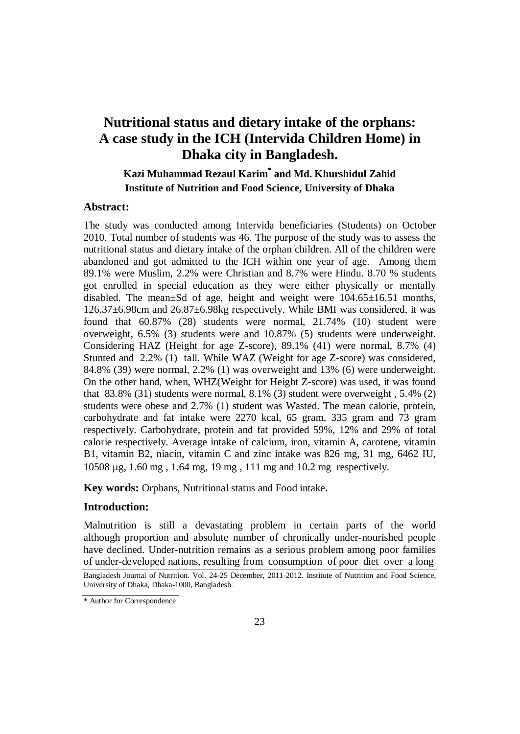# **Nutritional status and dietary intake of the orphans: A case study in the ICH (Intervida Children Home) in Dhaka city in Bangladesh.**

## **Kazi Muhammad Rezaul Karim\* and Md. Khurshidul Zahid Institute of Nutrition and Food Science, University of Dhaka**

### **Abstract:**

The study was conducted among Intervida beneficiaries (Students) on October 2010. Total number of students was 46. The purpose of the study was to assess the nutritional status and dietary intake of the orphan children. All of the children were abandoned and got admitted to the ICH within one year of age. Among them 89.1% were Muslim, 2.2% were Christian and 8.7% were Hindu. 8.70 % students got enrolled in special education as they were either physically or mentally disabled. The mean±Sd of age, height and weight were 104.65±16.51 months, 126.37±6.98cm and 26.87±6.98kg respectively. While BMI was considered, it was found that 60.87% (28) students were normal, 21.74% (10) student were overweight, 6.5% (3) students were and 10.87% (5) students were underweight. Considering HAZ (Height for age Z-score), 89.1% (41) were normal, 8.7% (4) Stunted and 2.2% (1) tall. While WAZ (Weight for age Z-score) was considered, 84.8% (39) were normal, 2.2% (1) was overweight and 13% (6) were underweight. On the other hand, when, WHZ(Weight for Height Z-score) was used, it was found that 83.8% (31) students were normal,  $8.1\%$  (3) student were overweight,  $5.4\%$  (2) students were obese and 2.7% (1) student was Wasted. The mean calorie, protein, carbohydrate and fat intake were 2270 kcal, 65 gram, 335 gram and 73 gram respectively. Carbohydrate, protein and fat provided 59%, 12% and 29% of total calorie respectively. Average intake of calcium, iron, vitamin A, carotene, vitamin B1, vitamin B2, niacin, vitamin C and zinc intake was 826 mg, 31 mg, 6462 IU, 10508 µg, 1.60 mg , 1.64 mg, 19 mg , 111 mg and 10.2 mg respectively.

**Key words:** Orphans, Nutritional status and Food intake.

### **Introduction:**

Malnutrition is still a devastating problem in certain parts of the world although proportion and absolute number of chronically under-nourished people have declined. Under-nutrition remains as a serious problem among poor families of under-developed nations, resulting from consumption of poor diet over a long Bangladesh Journal of Nutrition. Vol. 24-25 December, 2011-2012. Institute of Nutrition and Food Science,

University of Dhaka, Dhaka-1000, Bangladesh.

<sup>\*</sup> Author for Correspondence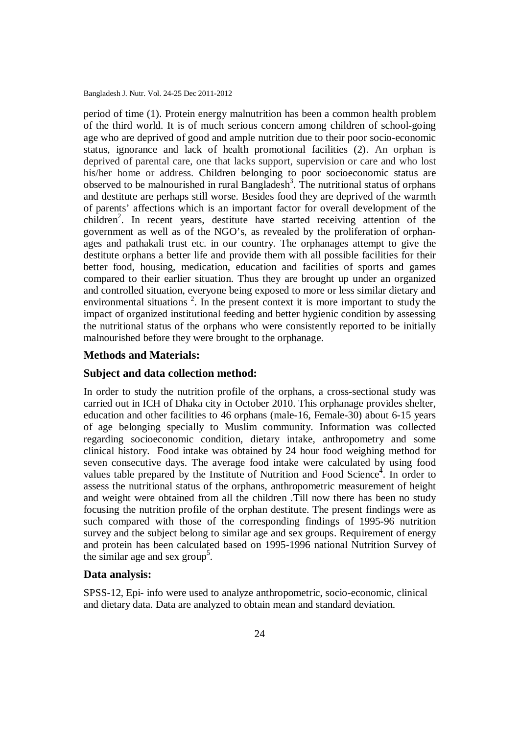period of time (1). Protein energy malnutrition has been a common health problem of the third world. It is of much serious concern among children of school-going age who are deprived of good and ample nutrition due to their poor socio-economic status, ignorance and lack of health promotional facilities (2). An orphan is deprived of parental care, one that lacks support, supervision or care and who lost his/her home or address. Children belonging to poor socioeconomic status are observed to be malnourished in rural Bangladesh<sup>3</sup>. The nutritional status of orphans and destitute are perhaps still worse. Besides food they are deprived of the warmth of parents' affections which is an important factor for overall development of the children<sup>2</sup>. In recent years, destitute have started receiving attention of the government as well as of the NGO's, as revealed by the proliferation of orphanages and pathakali trust etc. in our country. The orphanages attempt to give the destitute orphans a better life and provide them with all possible facilities for their better food, housing, medication, education and facilities of sports and games compared to their earlier situation. Thus they are brought up under an organized and controlled situation, everyone being exposed to more or less similar dietary and environmental situations  $2$ . In the present context it is more important to study the impact of organized institutional feeding and better hygienic condition by assessing the nutritional status of the orphans who were consistently reported to be initially malnourished before they were brought to the orphanage.

#### **Methods and Materials:**

#### **Subject and data collection method:**

In order to study the nutrition profile of the orphans, a cross-sectional study was carried out in ICH of Dhaka city in October 2010. This orphanage provides shelter, education and other facilities to 46 orphans (male-16, Female-30) about 6-15 years of age belonging specially to Muslim community. Information was collected regarding socioeconomic condition, dietary intake, anthropometry and some clinical history. Food intake was obtained by 24 hour food weighing method for seven consecutive days. The average food intake were calculated by using food values table prepared by the Institute of Nutrition and Food Science<sup>4</sup>. In order to assess the nutritional status of the orphans, anthropometric measurement of height and weight were obtained from all the children .Till now there has been no study focusing the nutrition profile of the orphan destitute. The present findings were as such compared with those of the corresponding findings of 1995-96 nutrition survey and the subject belong to similar age and sex groups. Requirement of energy and protein has been calculated based on 1995-1996 national Nutrition Survey of the similar age and sex group<sup>5</sup>.

### **Data analysis:**

SPSS-12, Epi- info were used to analyze anthropometric, socio-economic, clinical and dietary data. Data are analyzed to obtain mean and standard deviation.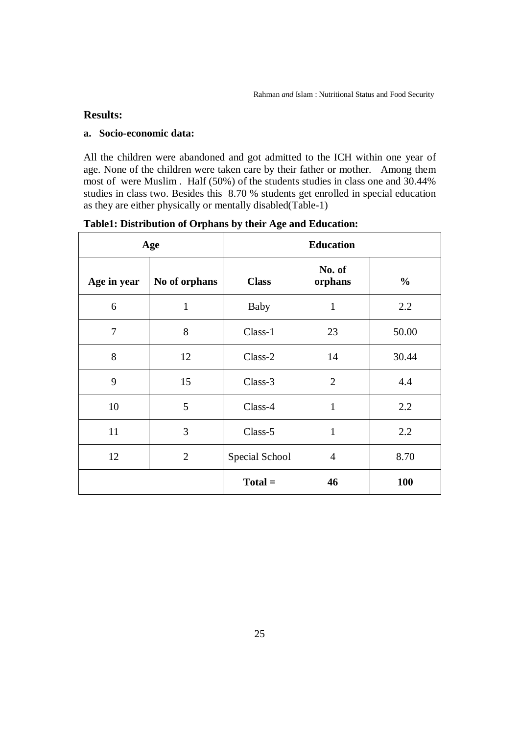### **Results:**

### **a. Socio-economic data:**

All the children were abandoned and got admitted to the ICH within one year of age. None of the children were taken care by their father or mother. Among them most of were Muslim . Half (50%) of the students studies in class one and 30.44% studies in class two. Besides this 8.70 % students get enrolled in special education as they are either physically or mentally disabled(Table-1)

| Age         |                | <b>Education</b> |                   |               |  |
|-------------|----------------|------------------|-------------------|---------------|--|
| Age in year | No of orphans  | <b>Class</b>     | No. of<br>orphans | $\frac{0}{0}$ |  |
| 6           | $\mathbf{1}$   | <b>Baby</b>      | $\mathbf{1}$      | 2.2           |  |
| $\tau$      | 8              | Class-1          | 23                | 50.00         |  |
| 8           | 12             | Class-2          | 14                | 30.44         |  |
| 9           | 15             | Class-3          | $\overline{2}$    | 4.4           |  |
| 10          | 5              | Class-4          | $\mathbf{1}$      | 2.2           |  |
| 11          | 3              | Class-5          | $\mathbf{1}$      | 2.2           |  |
| 12          | $\overline{2}$ | Special School   | $\overline{4}$    | 8.70          |  |
|             |                | $Total =$        | 46                | <b>100</b>    |  |

**Table1: Distribution of Orphans by their Age and Education:**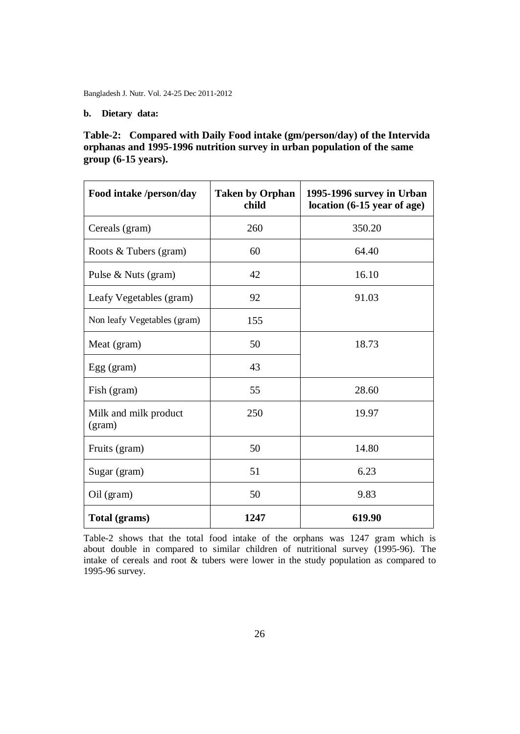### **b. Dietary data:**

### **Table-2: Compared with Daily Food intake (gm/person/day) of the Intervida orphanas and 1995-1996 nutrition survey in urban population of the same group (6-15 years).**

| Food intake /person/day         | <b>Taken by Orphan</b><br>1995-1996 survey in Urban<br>location (6-15 year of age)<br>child |        |
|---------------------------------|---------------------------------------------------------------------------------------------|--------|
| Cereals (gram)                  | 260                                                                                         | 350.20 |
| Roots & Tubers (gram)           | 60                                                                                          | 64.40  |
| Pulse & Nuts (gram)             | 42                                                                                          | 16.10  |
| Leafy Vegetables (gram)         | 92                                                                                          | 91.03  |
| Non leafy Vegetables (gram)     | 155                                                                                         |        |
| Meat (gram)                     | 50                                                                                          | 18.73  |
| Egg (gram)                      | 43                                                                                          |        |
| Fish (gram)                     | 55                                                                                          | 28.60  |
| Milk and milk product<br>(gram) | 250                                                                                         | 19.97  |
| Fruits (gram)                   | 50                                                                                          | 14.80  |
| Sugar (gram)                    | 51                                                                                          | 6.23   |
| Oil (gram)                      | 50                                                                                          | 9.83   |
| Total (grams)                   | 1247                                                                                        | 619.90 |

Table-2 shows that the total food intake of the orphans was 1247 gram which is about double in compared to similar children of nutritional survey (1995-96). The intake of cereals and root & tubers were lower in the study population as compared to 1995-96 survey.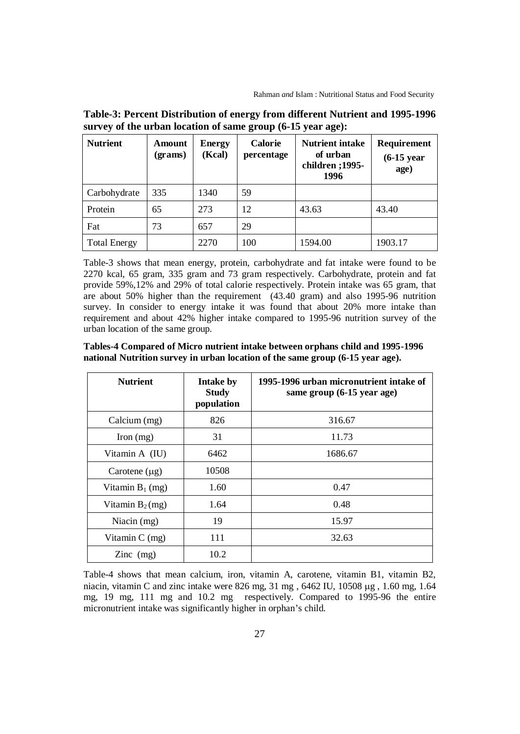| <b>Nutrient</b>     | Amount<br>(grams) | <b>Energy</b><br>(Kcal) | <b>Calorie</b><br>percentage | <b>Nutrient intake</b><br>of urban<br>children ;1995-<br>1996 | <b>Requirement</b><br>$(6-15)$ year<br>age) |
|---------------------|-------------------|-------------------------|------------------------------|---------------------------------------------------------------|---------------------------------------------|
| Carbohydrate        | 335               | 1340                    | 59                           |                                                               |                                             |
| Protein             | 65                | 273                     | 12                           | 43.63                                                         | 43.40                                       |
| Fat                 | 73                | 657                     | 29                           |                                                               |                                             |
| <b>Total Energy</b> |                   | 2270                    | 100                          | 1594.00                                                       | 1903.17                                     |

**Table-3: Percent Distribution of energy from different Nutrient and 1995-1996 survey of the urban location of same group (6-15 year age):**

Table-3 shows that mean energy, protein, carbohydrate and fat intake were found to be 2270 kcal, 65 gram, 335 gram and 73 gram respectively. Carbohydrate, protein and fat provide 59%,12% and 29% of total calorie respectively. Protein intake was 65 gram, that are about 50% higher than the requirement (43.40 gram) and also 1995-96 nutrition survey. In consider to energy intake it was found that about 20% more intake than requirement and about 42% higher intake compared to 1995-96 nutrition survey of the urban location of the same group.

**Tables-4 Compared of Micro nutrient intake between orphans child and 1995-1996 national Nutrition survey in urban location of the same group (6-15 year age).** 

| <b>Nutrient</b>    | <b>Intake by</b><br><b>Study</b><br>population | 1995-1996 urban micronutrient intake of<br>same group (6-15 year age) |
|--------------------|------------------------------------------------|-----------------------------------------------------------------------|
| Calcium (mg)       | 826                                            | 316.67                                                                |
| Iron $(mg)$        | 31                                             | 11.73                                                                 |
| Vitamin A (IU)     | 6462                                           | 1686.67                                                               |
| Carotene $(\mu g)$ | 10508                                          |                                                                       |
| Vitamin $B_1$ (mg) | 1.60                                           | 0.47                                                                  |
| Vitamin $B_2(mg)$  | 1.64                                           | 0.48                                                                  |
| Niacin $(mg)$      | 19                                             | 15.97                                                                 |
| Vitamin $C$ (mg)   | 111                                            | 32.63                                                                 |
| $\text{Zinc}$ (mg) | 10.2                                           |                                                                       |

Table-4 shows that mean calcium, iron, vitamin A, carotene, vitamin B1, vitamin B2, niacin, vitamin C and zinc intake were 826 mg,  $31 \text{ mg}$ ,  $6462 \text{ IU}$ ,  $10508 \mu\text{g}$ ,  $1.60 \text{ mg}$ ,  $1.64$ mg, 19 mg, 111 mg and 10.2 mg respectively. Compared to 1995-96 the entire micronutrient intake was significantly higher in orphan's child.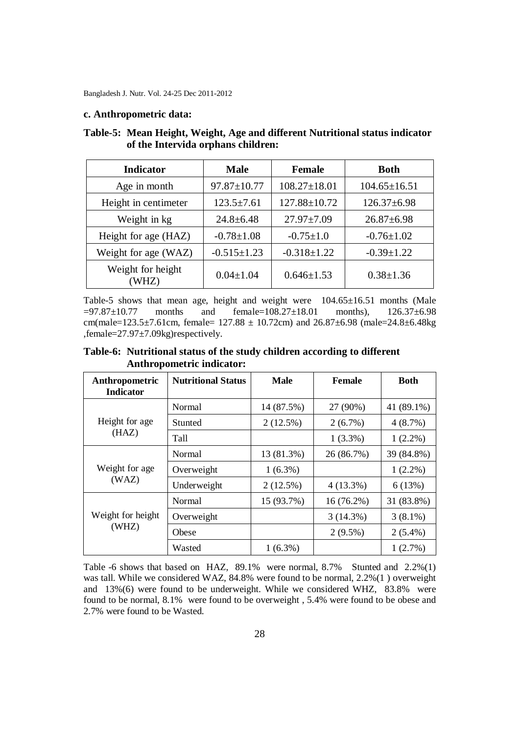#### **c. Anthropometric data:**

| <b>Indicator</b>           | <b>Male</b>       | <b>Female</b>      | <b>Both</b>        |  |
|----------------------------|-------------------|--------------------|--------------------|--|
| Age in month               | $97.87 \pm 10.77$ | $108.27 \pm 18.01$ | $104.65 \pm 16.51$ |  |
| Height in centimeter       | $123.5 \pm 7.61$  | 127.88±10.72       | $126.37 \pm 6.98$  |  |
| Weight in kg               | $24.8 \pm 6.48$   | $27.97 \pm 7.09$   | $26.87 \pm 6.98$   |  |
| Height for age (HAZ)       | $-0.78 \pm 1.08$  | $-0.75 \pm 1.0$    | $-0.76 \pm 1.02$   |  |
| Weight for age (WAZ)       | $-0.515 \pm 1.23$ | $-0.318 \pm 1.22$  | $-0.39 \pm 1.22$   |  |
| Weight for height<br>[WHZ] | $0.04 \pm 1.04$   | $0.646 \pm 1.53$   | $0.38 \pm 1.36$    |  |

### **Table-5: Mean Height, Weight, Age and different Nutritional status indicator of the Intervida orphans children:**

Table-5 shows that mean age, height and weight were  $104.65\pm16.51$  months (Male  $=97.87\pm10.77$  months and female=108.27 $\pm18.01$  months), 126.37 $\pm6.98$ cm(male= $123.5\pm7.61$ cm, female=  $127.88 \pm 10.72$ cm) and  $26.87\pm6.98$  (male= $24.8\pm6.48$ kg ,female=27.97±7.09kg)respectively.

**Table-6: Nutritional status of the study children according to different Anthropometric indicator:**

| Anthropometric<br><b>Indicator</b> | <b>Nutritional Status</b> | <b>Male</b> | <b>Female</b> | <b>Both</b> |
|------------------------------------|---------------------------|-------------|---------------|-------------|
| Height for age<br>(HAZ)            | Normal                    | 14 (87.5%)  | 27 (90%)      | 41 (89.1%)  |
|                                    | Stunted                   | 2(12.5%)    | $2(6.7\%)$    | 4(8.7%)     |
|                                    | Tall                      |             | $1(3.3\%)$    | $1(2.2\%)$  |
| Weight for age<br>(WAZ)            | Normal                    | 13 (81.3%)  | 26 (86.7%)    | 39 (84.8%)  |
|                                    | Overweight                | $1(6.3\%)$  |               | $1(2.2\%)$  |
|                                    | Underweight               | 2(12.5%)    | $4(13.3\%)$   | 6(13%)      |
| Weight for height<br>(WHZ)         | Normal                    | 15 (93.7%)  | $16(76.2\%)$  | 31 (83.8%)  |
|                                    | Overweight                |             | 3(14.3%)      | $3(8.1\%)$  |
|                                    | Obese                     |             | $2(9.5\%)$    | $2(5.4\%)$  |
|                                    | Wasted                    | $1(6.3\%)$  |               | 1(2.7%)     |

Table -6 shows that based on HAZ, 89.1% were normal, 8.7% Stunted and 2.2%(1) was tall. While we considered WAZ, 84.8% were found to be normal, 2.2%(1 ) overweight and 13%(6) were found to be underweight. While we considered WHZ, 83.8% were found to be normal, 8.1% were found to be overweight , 5.4% were found to be obese and 2.7% were found to be Wasted.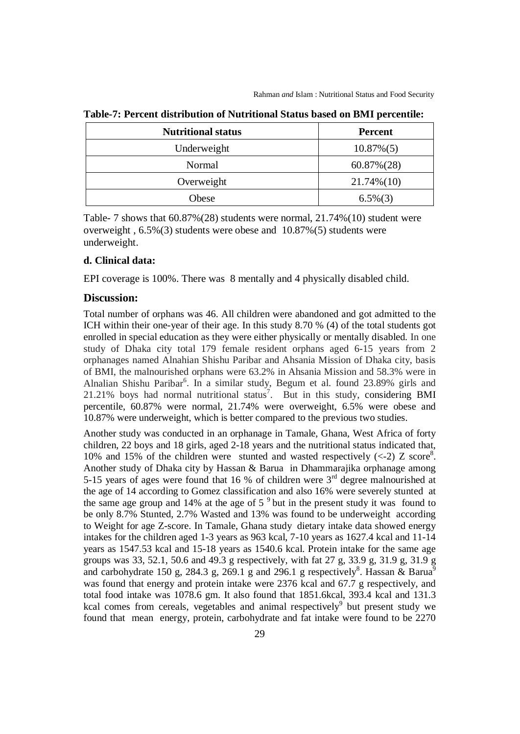| <b>Nutritional status</b> | <b>Percent</b> |  |
|---------------------------|----------------|--|
| Underweight               | $10.87\%(5)$   |  |
| Normal                    | $60.87\%(28)$  |  |
| Overweight                | $21.74\%(10)$  |  |
| Obese                     | $6.5\%(3)$     |  |

**Table-7: Percent distribution of Nutritional Status based on BMI percentile:**

Table- 7 shows that 60.87%(28) students were normal, 21.74%(10) student were overweight , 6.5%(3) students were obese and 10.87%(5) students were underweight.

#### **d. Clinical data:**

EPI coverage is 100%. There was 8 mentally and 4 physically disabled child.

### **Discussion:**

Total number of orphans was 46. All children were abandoned and got admitted to the ICH within their one-year of their age. In this study 8.70 % (4) of the total students got enrolled in special education as they were either physically or mentally disabled. In one study of Dhaka city total 179 female resident orphans aged 6-15 years from 2 orphanages named Alnahian Shishu Paribar and Ahsania Mission of Dhaka city, basis of BMI, the malnourished orphans were 63.2% in Ahsania Mission and 58.3% were in Alnalian Shishu Paribar<sup>6</sup>. In a similar study, Begum et al. found 23.89% girls and 21.21% boys had normal nutritional status<sup>7</sup>. But in this study, considering BMI percentile, 60.87% were normal, 21.74% were overweight, 6.5% were obese and 10.87% were underweight, which is better compared to the previous two studies.

Another study was conducted in an orphanage in Tamale, Ghana, West Africa of forty children, 22 boys and 18 girls, aged 2-18 years and the nutritional status indicated that, 10% and 15% of the children were stunted and wasted respectively  $\left(\langle -2 \rangle \right)$  z score<sup>8</sup>. Another study of Dhaka city by Hassan & Barua in Dhammarajika orphanage among 5-15 years of ages were found that 16 % of children were  $3<sup>rd</sup>$  degree malnourished at the age of 14 according to Gomez classification and also 16% were severely stunted at the same age group and  $14\%$  at the age of  $5<sup>9</sup>$  but in the present study it was found to be only 8.7% Stunted, 2.7% Wasted and 13% was found to be underweight according to Weight for age Z-score. In Tamale, Ghana study dietary intake data showed energy intakes for the children aged 1-3 years as 963 kcal, 7-10 years as 1627.4 kcal and 11-14 years as 1547.53 kcal and 15-18 years as 1540.6 kcal. Protein intake for the same age groups was 33, 52.1, 50.6 and 49.3 g respectively, with fat 27 g, 33.9 g, 31.9 g, 31.9 g and carbohydrate 150 g, 284.3 g, 269.1 g and 296.1 g respectively<sup>8</sup>. Hassan & Barua<sup>9</sup> was found that energy and protein intake were 2376 kcal and 67.7 g respectively, and total food intake was 1078.6 gm. It also found that 1851.6kcal, 393.4 kcal and 131.3 kcal comes from cereals, vegetables and animal respectively $9$  but present study we found that mean energy, protein, carbohydrate and fat intake were found to be 2270